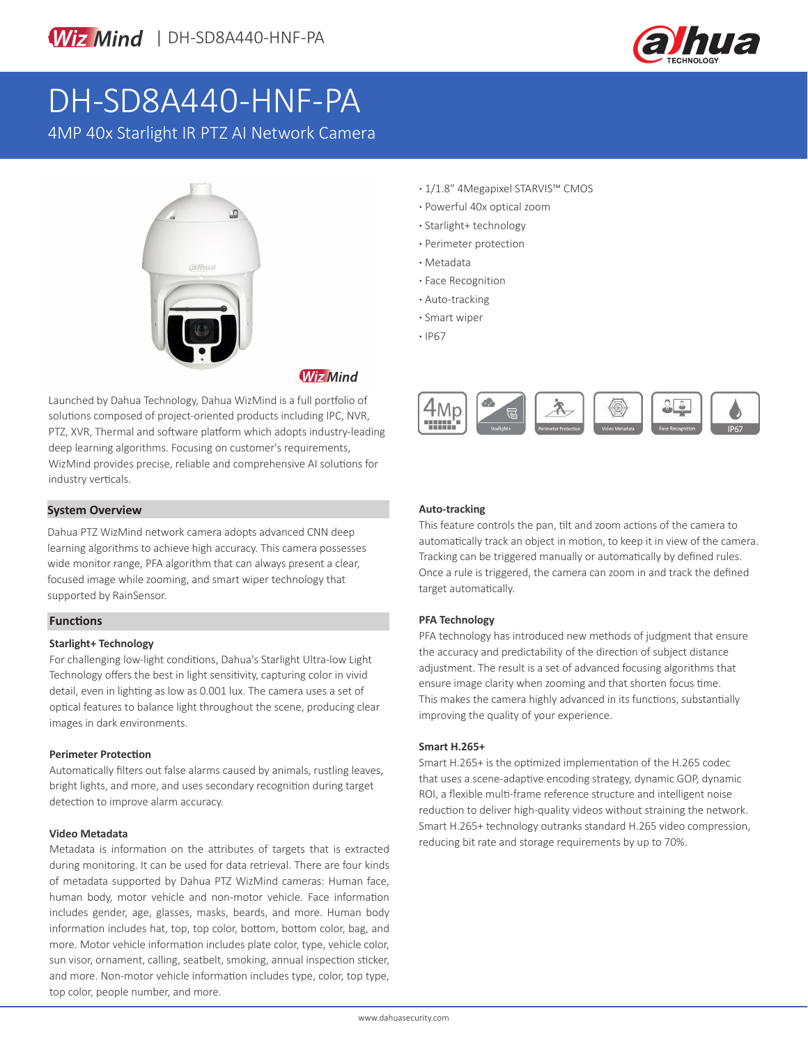



# DH-SD8A440-HNF-PA

4MP 40x Starlight IR PTZ AI Network Camera



**Wiz Mind** 

Launched by Dahua Technology, Dahua WizMind is a full portfolio of solutions composed of project-oriented products including IPC, NVR, PTZ, XVR, Thermal and software platform which adopts industry-leading deep learning algorithms. Focusing on customer's requirements, WizMind provides precise, reliable and comprehensive AI solutions for industry verticals.

### **System Overview**

Dahua PTZ WizMind network camera adopts advanced CNN deep learning algorithms to achieve high accuracy. This camera possesses wide monitor range, PFA algorithm that can always present a clear, focused image while zooming, and smart wiper technology that supported by RainSensor.

### **Functions**

### **Starlight+ Technology**

For challenging low-light conditions, Dahua's Starlight Ultra-low Light Technology offers the best in light sensitivity, capturing color in vivid detail, even in lighting as low as 0.001 lux. The camera uses a set of optical features to balance light throughout the scene, producing clear images in dark environments.

### **Perimeter Protection**

Automatically filters out false alarms caused by animals, rustling leaves, bright lights, and more, and uses secondary recognition during target detection to improve alarm accuracy.

### **Video Metadata**

Metadata is information on the attributes of targets that is extracted during monitoring. It can be used for data retrieval. There are four kinds of metadata supported by Dahua PTZ WizMind cameras: Human face, human body, motor vehicle and non-motor vehicle. Face information includes gender, age, glasses, masks, beards, and more. Human body information includes hat, top, top color, bottom, bottom color, bag, and more. Motor vehicle information includes plate color, type, vehicle color, sun visor, ornament, calling, seatbelt, smoking, annual inspection sticker, and more. Non-motor vehicle information includes type, color, top type, top color, people number, and more.

- **·** 1/1.8" 4Megapixel STARVIS™ CMOS
- **·** Powerful 40x optical zoom
- **·** Starlight+ technology
- **·** Perimeter protection
- **·** Metadata
- **·** Face Recognition
- **·** Auto-tracking
- **·** Smart wiper
- **·** IP67



### **Auto-tracking**

This feature controls the pan, tilt and zoom actions of the camera to automatically track an object in motion, to keep it in view of the camera. Tracking can be triggered manually or automatically by defined rules. Once a rule is triggered, the camera can zoom in and track the defined target automatically.

#### **PFA Technology**

PFA technology has introduced new methods of judgment that ensure the accuracy and predictability of the direction of subject distance adjustment. The result is a set of advanced focusing algorithms that ensure image clarity when zooming and that shorten focus time. This makes the camera highly advanced in its functions, substantially improving the quality of your experience.

#### **Smart H.265+**

Smart H.265+ is the optimized implementation of the H.265 codec that uses a scene-adaptive encoding strategy, dynamic GOP, dynamic ROI, a flexible multi-frame reference structure and intelligent noise reduction to deliver high-quality videos without straining the network. Smart H.265+ technology outranks standard H.265 video compression, reducing bit rate and storage requirements by up to 70%.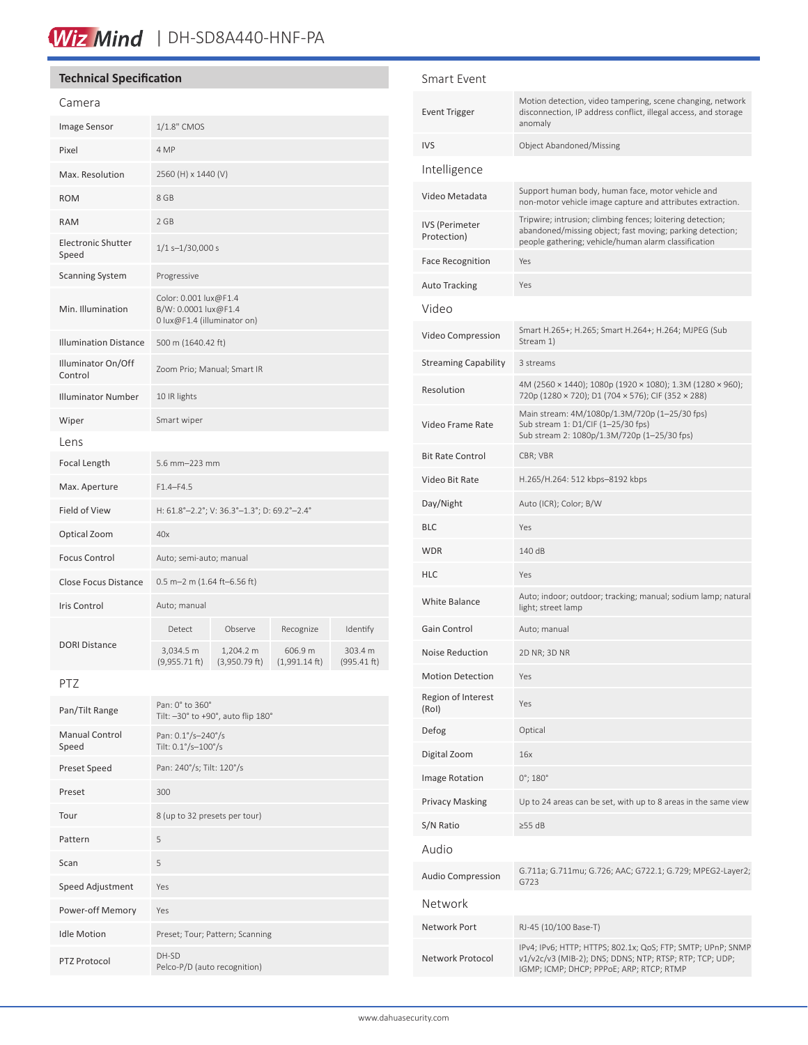### Wiz Mind | DH-SD8A440-HNF-PA

#### **Technical Specification**

| Camera                             |                                                                              |                              |                                    |                        |
|------------------------------------|------------------------------------------------------------------------------|------------------------------|------------------------------------|------------------------|
| Image Sensor                       | 1/1.8" CMOS                                                                  |                              |                                    |                        |
| Pixel                              | 4 MP                                                                         |                              |                                    |                        |
| Max. Resolution                    | 2560 (H) x 1440 (V)                                                          |                              |                                    |                        |
| <b>ROM</b>                         | 8 GB                                                                         |                              |                                    |                        |
| <b>RAM</b>                         | 2 GB                                                                         |                              |                                    |                        |
| <b>Electronic Shutter</b><br>Speed | $1/1s - 1/30,000s$                                                           |                              |                                    |                        |
| <b>Scanning System</b>             | Progressive                                                                  |                              |                                    |                        |
| Min. Illumination                  | Color: 0.001 lux@F1.4<br>B/W: 0.0001 lux@F1.4<br>0 lux@F1.4 (illuminator on) |                              |                                    |                        |
| <b>Illumination Distance</b>       | 500 m (1640.42 ft)                                                           |                              |                                    |                        |
| Illuminator On/Off<br>Control      | Zoom Prio; Manual; Smart IR                                                  |                              |                                    |                        |
| <b>Illuminator Number</b>          | 10 IR lights                                                                 |                              |                                    |                        |
| Wiper                              | Smart wiper                                                                  |                              |                                    |                        |
| Lens                               |                                                                              |                              |                                    |                        |
| Focal Length                       | 5.6 mm-223 mm                                                                |                              |                                    |                        |
| Max. Aperture                      | $F1.4 - F4.5$                                                                |                              |                                    |                        |
| Field of View                      | H: 61.8°-2.2°; V: 36.3°-1.3°; D: 69.2°-2.4°                                  |                              |                                    |                        |
| Optical Zoom                       | 40x                                                                          |                              |                                    |                        |
| <b>Focus Control</b>               | Auto; semi-auto; manual                                                      |                              |                                    |                        |
| <b>Close Focus Distance</b>        | $0.5$ m-2 m (1.64 ft-6.56 ft)                                                |                              |                                    |                        |
| <b>Iris Control</b>                | Auto; manual                                                                 |                              |                                    |                        |
| <b>DORI Distance</b>               | Detect                                                                       | Observe                      | Recognize                          | Identify               |
|                                    | 3,034.5 m<br>$(9,955.71$ ft)                                                 | 1,204.2 m<br>$(3,950.79$ ft) | 606.9 m<br>$(1,991.14 \text{ ft})$ | 303.4 m<br>(995.41 ft) |
|                                    |                                                                              |                              |                                    |                        |

PTZ

| Pan/Tilt Range                 | Pan: 0° to 360°<br>Tilt: -30° to +90°, auto flip 180° |  |
|--------------------------------|-------------------------------------------------------|--|
| <b>Manual Control</b><br>Speed | Pan: 0.1°/s-240°/s<br>Tilt: 0.1°/s-100°/s             |  |
| Preset Speed                   | Pan: 240°/s; Tilt: 120°/s                             |  |
| Preset                         | 300                                                   |  |
| Tour                           | 8 (up to 32 presets per tour)                         |  |
| Pattern                        | 5                                                     |  |
| Scan                           | 5                                                     |  |
| Speed Adjustment               | Yes                                                   |  |
| Power-off Memory               | Yes                                                   |  |
| <b>Idle Motion</b>             | Preset; Tour; Pattern; Scanning                       |  |
| PTZ Protocol                   | DH-SD<br>Pelco-P/D (auto recognition)                 |  |

### Smart Event Event Trigger Motion detection, video tampering, scene changing, network disconnection, IP address conflict, illegal access, and storage anomaly IVS Object Abandoned/Missing Intelligence Video Metadata Support human body, human face, motor vehicle and non-motor vehicle image capture and attributes extraction. IVS (Perimeter Protection) Tripwire; intrusion; climbing fences; loitering detection; abandoned/missing object; fast moving; parking detection; people gathering; vehicle/human alarm classification Face Recognition Yes Auto Tracking Yes Video Video Compression Smart H.265+; H.265; Smart H.264+; H.264; MJPEG (Sub Stream 1) Streaming Capability 3 streams Resolution 4M (2560 × 1440); 1080p (1920 × 1080); 1.3M (1280 × 960);<br>  $720 \times 1280 \times 720$ , 200 1704  $\times$  750, 215 (250  $\times$  300) 720p (1280 × 720); D1 (704 × 576); CIF (352 × 288) Video Frame Rate Main stream: 4M/1080p/1.3M/720p (1–25/30 fps) Sub stream 1: D1/CIF (1–25/30 fps) Sub stream 2: 1080p/1.3M/720p (1–25/30 fps) Bit Rate Control CBR; VBR Video Bit Rate H.265/H.264: 512 kbps–8192 kbps Day/Night Auto (ICR); Color; B/W BLC Yes WDR 140 dB HLC Yes White Balance Auto; indoor; outdoor; tracking; manual; sodium lamp; natural light; street lamp Gain Control Auto; manual Noise Reduction 2D NR; 3D NR Motion Detection Yes Region of Interest (RoI) Yes Defog Optical Digital Zoom 16x Image Rotation  $0^\circ$ ; 180° Privacy Masking Up to 24 areas can be set, with up to 8 areas in the same view S/N Ratio ≥55 dB Audio Audio Compression G.711a; G.711mu; G.726; AAC; G722.1; G.729; MPEG2-Layer2; G723 Network Network Port RJ-45 (10/100 Base-T) Network Protocol IPv4; IPv6; HTTP; HTTPS; 802.1x; QoS; FTP; SMTP; UPnP; SNMP v1/v2c/v3 (MIB-2); DNS; DDNS; NTP; RTSP; RTP; TCP; UDP;

IGMP; ICMP; DHCP; PPPoE; ARP; RTCP; RTMP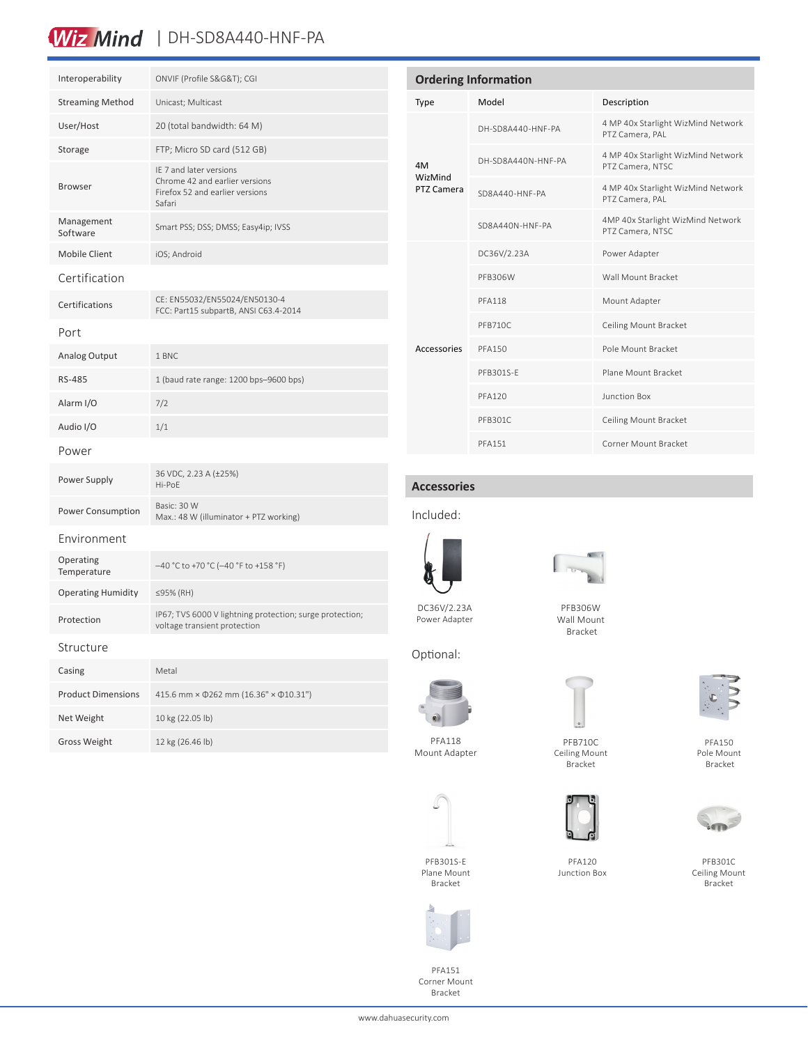### Wiz Mind | DH-SD8A440-HNF-PA

| Interoperability          | ONVIF (Profile S&G&T); CGI                                                                             |  |
|---------------------------|--------------------------------------------------------------------------------------------------------|--|
| <b>Streaming Method</b>   | Unicast; Multicast                                                                                     |  |
| User/Host                 | 20 (total bandwidth: 64 M)                                                                             |  |
| Storage                   | FTP; Micro SD card (512 GB)                                                                            |  |
| <b>Browser</b>            | IE 7 and later versions<br>Chrome 42 and earlier versions<br>Firefox 52 and earlier versions<br>Safari |  |
| Management<br>Software    | Smart PSS; DSS; DMSS; Easy4ip; IVSS                                                                    |  |
| <b>Mobile Client</b>      | iOS; Android                                                                                           |  |
| Certification             |                                                                                                        |  |
| Certifications            | CE: EN55032/EN55024/EN50130-4<br>FCC: Part15 subpartB, ANSI C63.4-2014                                 |  |
| Port                      |                                                                                                        |  |
| <b>Analog Output</b>      | 1 BNC                                                                                                  |  |
| <b>RS-485</b>             | 1 (baud rate range: 1200 bps-9600 bps)                                                                 |  |
| Alarm I/O                 | 7/2                                                                                                    |  |
| Audio I/O                 | 1/1                                                                                                    |  |
| Power                     |                                                                                                        |  |
| Power Supply              | 36 VDC, 2.23 A (±25%)<br>Hi-PoE                                                                        |  |
| Power Consumption         | Basic: 30 W<br>Max.: 48 W (illuminator + PTZ working)                                                  |  |
| Environment               |                                                                                                        |  |
| Operating<br>Temperature  | -40 °C to +70 °C (-40 °F to +158 °F)                                                                   |  |
| <b>Operating Humidity</b> | ≤95% (RH)                                                                                              |  |
| Protection                | IP67; TVS 6000 V lightning protection; surge protection;<br>voltage transient protection               |  |
| Structure                 |                                                                                                        |  |
| Casing                    | Metal                                                                                                  |  |
| <b>Product Dimensions</b> | 415.6 mm × 0262 mm (16.36" × 010.31")                                                                  |  |

Net Weight 10 kg (22.05 lb) Gross Weight 12 kg (26.46 lb)

| <b>Ordering Information</b> |                    |                                                        |  |  |
|-----------------------------|--------------------|--------------------------------------------------------|--|--|
| Type                        | Model              | Description                                            |  |  |
| 4M<br>WizMind<br>PTZ Camera | DH-SD8A440-HNF-PA  | 4 MP 40x Starlight WizMind Network<br>PTZ Camera, PAL  |  |  |
|                             | DH-SD8A440N-HNF-PA | 4 MP 40x Starlight WizMind Network<br>PTZ Camera, NTSC |  |  |
|                             | SD8A440-HNF-PA     | 4 MP 40x Starlight WizMind Network<br>PTZ Camera, PAL  |  |  |
|                             | SD8A440N-HNF-PA    | 4MP 40x Starlight WizMind Network<br>PTZ Camera, NTSC  |  |  |
| Accessories                 | DC36V/2.23A        | Power Adapter                                          |  |  |
|                             | PFB306W            | Wall Mount Bracket                                     |  |  |
|                             | <b>PFA118</b>      | Mount Adapter                                          |  |  |
|                             | <b>PFB710C</b>     | Ceiling Mount Bracket                                  |  |  |
|                             | <b>PFA150</b>      | Pole Mount Bracket                                     |  |  |
|                             | PFB301S-F          | Plane Mount Bracket                                    |  |  |
|                             | <b>PFA120</b>      | Junction Box                                           |  |  |
|                             | PFB301C            | Ceiling Mount Bracket                                  |  |  |
|                             | <b>PFA151</b>      | Corner Mount Bracket                                   |  |  |
|                             |                    |                                                        |  |  |

### **Accessories**

### Included:



DC36V/2.23A Power Adapter

Optional:



PFB306W Wall Mount Bracket



Ceiling Mount



PFA120

Junction Box

Bracket



PFB301C Ceiling Mount Bracket



PFA118 Mount Adapter

PFB301S-E Plane Mount Bracket



PFA151 Corner Mount Bracket















www.dahuasecurity.com